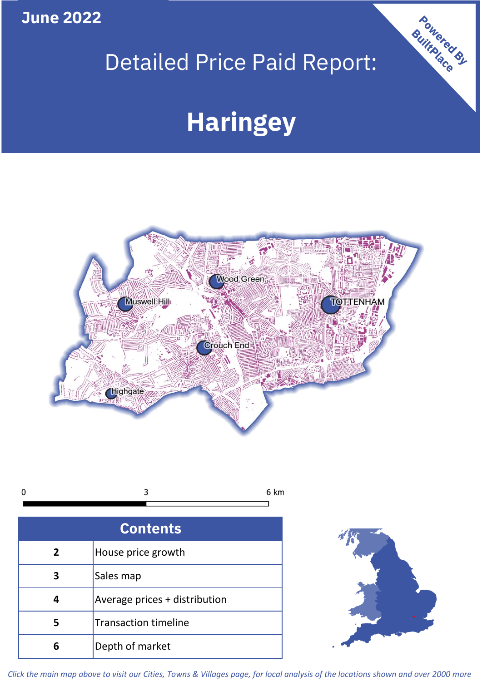**June 2022**

## Detailed Price Paid Report:

# **Haringey**



| <b>Contents</b> |                               |  |  |
|-----------------|-------------------------------|--|--|
| $\overline{2}$  | House price growth            |  |  |
| 3               | Sales map                     |  |  |
| 4               | Average prices + distribution |  |  |
|                 | <b>Transaction timeline</b>   |  |  |
|                 | Depth of market               |  |  |



Powered By

*Click the main map above to visit our Cities, Towns & Villages page, for local analysis of the locations shown and over 2000 more*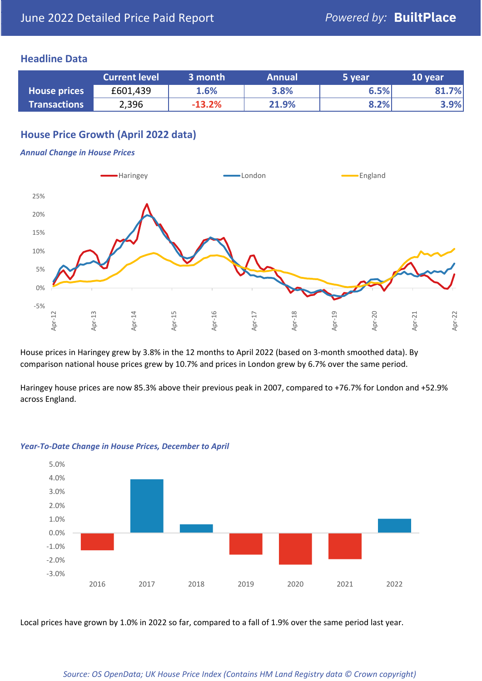### **Headline Data**

|                     | <b>Current level</b> | 3 month  | <b>Annual</b> | 5 year | 10 year |
|---------------------|----------------------|----------|---------------|--------|---------|
| <b>House prices</b> | £601,439             | 1.6%     | 3.8%          | 6.5%   | .7%     |
| <b>Transactions</b> | 2,396                | $-13.2%$ | 21.9%         | 8.2%   | 3.9%    |

## **House Price Growth (April 2022 data)**

#### *Annual Change in House Prices*



House prices in Haringey grew by 3.8% in the 12 months to April 2022 (based on 3-month smoothed data). By comparison national house prices grew by 10.7% and prices in London grew by 6.7% over the same period.

Haringey house prices are now 85.3% above their previous peak in 2007, compared to +76.7% for London and +52.9% across England.



#### *Year-To-Date Change in House Prices, December to April*

Local prices have grown by 1.0% in 2022 so far, compared to a fall of 1.9% over the same period last year.

#### *Source: OS OpenData; UK House Price Index (Contains HM Land Registry data © Crown copyright)*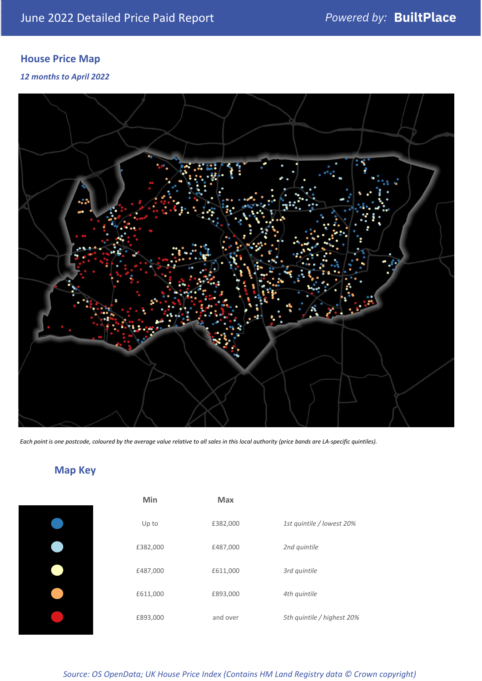## **House Price Map**

*12 months to April 2022*



*Each point is one postcode, coloured by the average value relative to all sales in this local authority (price bands are LA-specific quintiles).*

## **Map Key**

| Min      | <b>Max</b> |                            |
|----------|------------|----------------------------|
| Up to    | £382,000   | 1st quintile / lowest 20%  |
| £382,000 | £487,000   | 2nd quintile               |
| £487,000 | £611,000   | 3rd quintile               |
| £611,000 | £893,000   | 4th quintile               |
| £893,000 | and over   | 5th quintile / highest 20% |
|          |            |                            |

*Source: OS OpenData; UK House Price Index (Contains HM Land Registry data © Crown copyright)*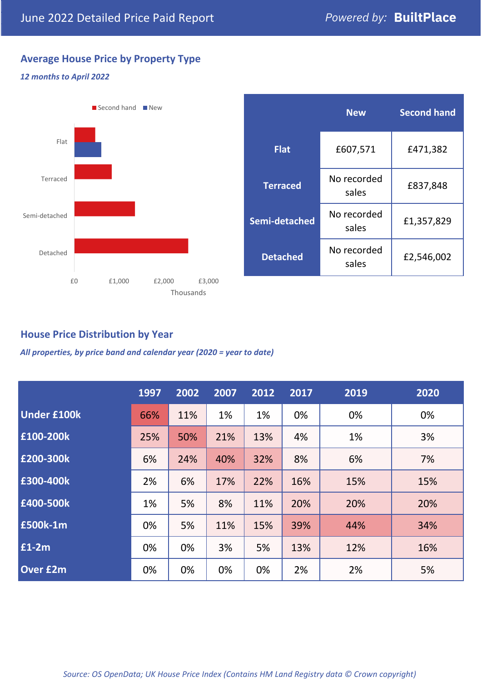## **Average House Price by Property Type**

#### *12 months to April 2022*



|                 | <b>New</b>           | <b>Second hand</b> |  |  |
|-----------------|----------------------|--------------------|--|--|
| <b>Flat</b>     | £607,571             | £471,382           |  |  |
| <b>Terraced</b> | No recorded<br>sales | £837,848           |  |  |
| Semi-detached   | No recorded<br>sales | £1,357,829         |  |  |
| <b>Detached</b> | No recorded<br>sales | £2,546,002         |  |  |

## **House Price Distribution by Year**

*All properties, by price band and calendar year (2020 = year to date)*

|                    | 1997 | 2002 | 2007 | 2012 | 2017 | 2019 | 2020 |
|--------------------|------|------|------|------|------|------|------|
| <b>Under £100k</b> | 66%  | 11%  | 1%   | 1%   | 0%   | 0%   | 0%   |
| £100-200k          | 25%  | 50%  | 21%  | 13%  | 4%   | 1%   | 3%   |
| E200-300k          | 6%   | 24%  | 40%  | 32%  | 8%   | 6%   | 7%   |
| £300-400k          | 2%   | 6%   | 17%  | 22%  | 16%  | 15%  | 15%  |
| £400-500k          | 1%   | 5%   | 8%   | 11%  | 20%  | 20%  | 20%  |
| <b>£500k-1m</b>    | 0%   | 5%   | 11%  | 15%  | 39%  | 44%  | 34%  |
| £1-2m              | 0%   | 0%   | 3%   | 5%   | 13%  | 12%  | 16%  |
| <b>Over £2m</b>    | 0%   | 0%   | 0%   | 0%   | 2%   | 2%   | 5%   |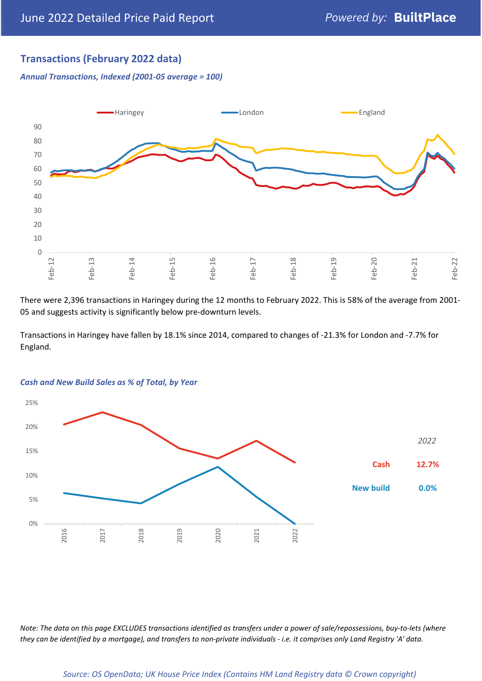## **Transactions (February 2022 data)**

*Annual Transactions, Indexed (2001-05 average = 100)*



There were 2,396 transactions in Haringey during the 12 months to February 2022. This is 58% of the average from 2001- 05 and suggests activity is significantly below pre-downturn levels.

Transactions in Haringey have fallen by 18.1% since 2014, compared to changes of -21.3% for London and -7.7% for England.



#### *Cash and New Build Sales as % of Total, by Year*

*Note: The data on this page EXCLUDES transactions identified as transfers under a power of sale/repossessions, buy-to-lets (where they can be identified by a mortgage), and transfers to non-private individuals - i.e. it comprises only Land Registry 'A' data.*